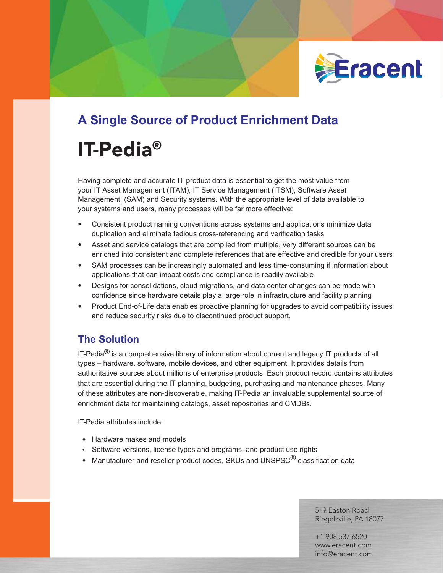

## **A Single Source of Product Enrichment Data**

# IT-Pedia®

Having complete and accurate IT product data is essential to get the most value from your IT Asset Management (ITAM), IT Service Management (ITSM), Software Asset Management, (SAM) and Security systems. With the appropriate level of data available to your systems and users, many processes will be far more effective:

- Consistent product naming conventions across systems and applications minimize data duplication and eliminate tedious cross-referencing and verification tasks
- Asset and service catalogs that are compiled from multiple, very different sources can be enriched into consistent and complete references that are effective and credible for your users
- SAM processes can be increasingly automated and less time-consuming if information about applications that can impact costs and compliance is readily available
- Designs for consolidations, cloud migrations, and data center changes can be made with confidence since hardware details play a large role in infrastructure and facility planning
- Product End-of-Life data enables proactive planning for upgrades to avoid compatibility issues and reduce security risks due to discontinued product support.

### **The Solution**

IT-Pedia ${}^{\circledR}$  is a comprehensive library of information about current and legacy IT products of all types – hardware, software, mobile devices, and other equipment. It provides details from authoritative sources about millions of enterprise products. Each product record contains attributes that are essential during the IT planning, budgeting, purchasing and maintenance phases. Many of these attributes are non-discoverable, making IT-Pedia an invaluable supplemental source of enrichment data for maintaining catalogs, asset repositories and CMDBs.

IT-Pedia attributes include:

- Hardware makes and models
- Software versions, license types and programs, and product use rights
- $\bullet$  Manufacturer and reseller product codes, SKUs and UNSPSC $^\circledR$  classification data

519 Easton Road Riegelsville, PA 18077

+1 908.537.6520 www.eracent.com info@eracent.com